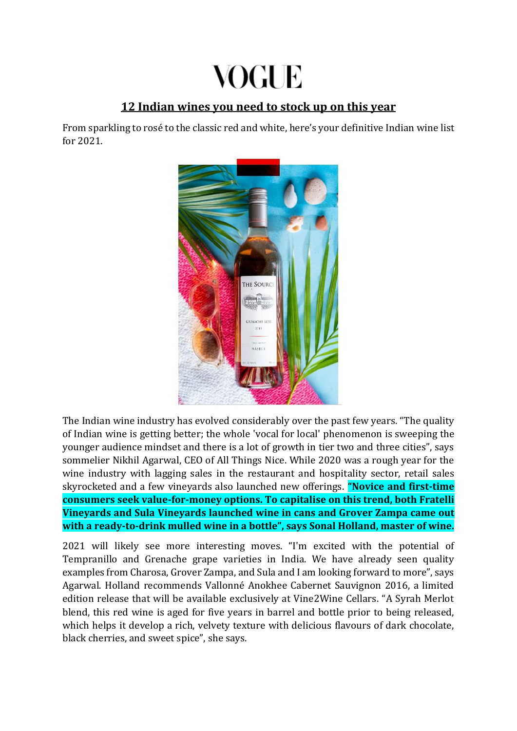# VOGUE

## **12 Indian wines you need to stock up on this year**

From sparkling to rosé to the classic red and white, here's your definitive Indian wine list for 2021.



The Indian wine industry has evolved considerably over the past few years. "The quality of Indian wine is getting better; the whole 'vocal for local' phenomenon is sweeping the younger audience mindset and there is a lot of growth in tier two and three cities", says sommelier Nikhil Agarwal, CEO of All Things Nice. While 2020 was a rough year for the wine industry with lagging sales in the restaurant and hospitality sector, retail sales skyrocketed and a few vineyards also launched new offerings. **"Novice and first-time consumers seek value-for-money options. To capitalise on this trend, both Fratelli Vineyards and Sula Vineyards launched wine in cans and Grover Zampa came out with a ready-to-drink mulled wine in a bottle", says Sonal Holland, master of wine.**

2021 will likely see more interesting moves. "I'm excited with the potential of Tempranillo and Grenache grape varieties in India. We have already seen quality examples from Charosa, Grover Zampa, and Sula and I am looking forward to more", says Agarwal. Holland recommends Vallonné Anokhee Cabernet Sauvignon 2016, a limited edition release that will be available exclusively at Vine2Wine Cellars. "A Syrah Merlot blend, this red wine is aged for five years in barrel and bottle prior to being released, which helps it develop a rich, velvety texture with delicious flavours of dark chocolate, black cherries, and sweet spice", she says.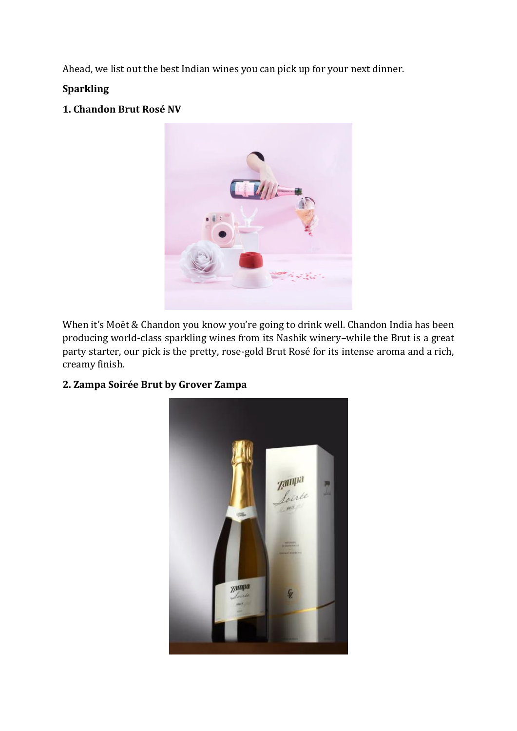Ahead, we list out the best Indian wines you can pick up for your next dinner.

## **Sparkling**

### **1. Chandon Brut Rosé NV**



When it's Moët & Chandon you know you're going to drink well. Chandon India has been producing world-class sparkling wines from its Nashik winery–while the Brut is a great party starter, our pick is the pretty, rose-gold Brut Rosé for its intense aroma and a rich, creamy finish.

#### **2. Zampa Soirée Brut by Grover Zampa**

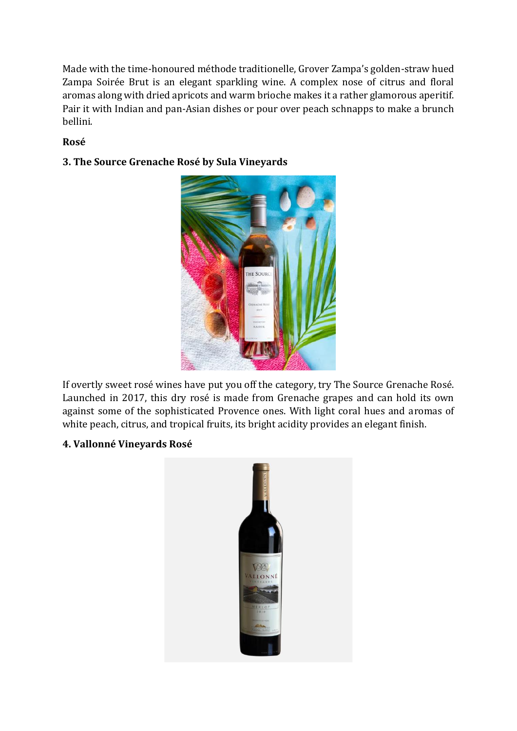Made with the time-honoured méthode traditionelle, Grover Zampa's golden-straw hued Zampa Soirée Brut is an elegant sparkling wine. A complex nose of citrus and floral aromas along with dried apricots and warm brioche makes it a rather glamorous aperitif. Pair it with Indian and pan-Asian dishes or pour over peach schnapps to make a brunch bellini.

## **Rosé**

## **3. The Source Grenache Rosé by Sula Vineyards**



If overtly sweet rosé wines have put you off the category, try The Source Grenache Rosé. Launched in 2017, this dry rosé is made from Grenache grapes and can hold its own against some of the sophisticated Provence ones. With light coral hues and aromas of white peach, citrus, and tropical fruits, its bright acidity provides an elegant finish.

#### **4. Vallonné Vineyards Rosé**

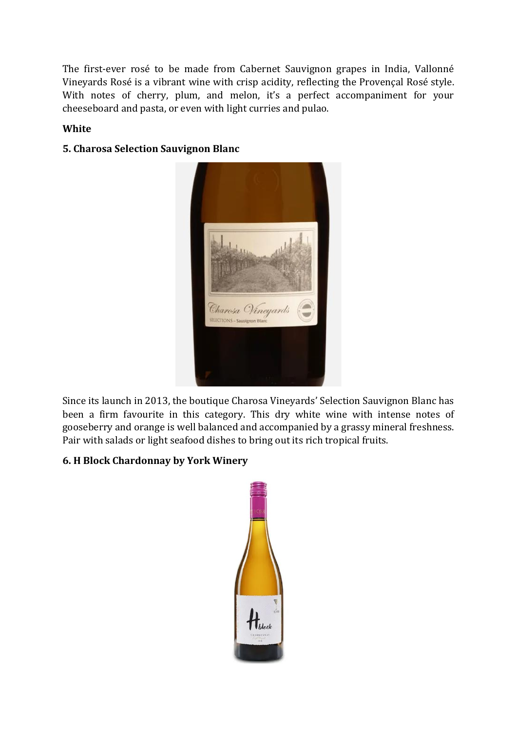The first-ever rosé to be made from Cabernet Sauvignon grapes in India, Vallonné Vineyards Rosé is a vibrant wine with crisp acidity, reflecting the Provençal Rosé style. With notes of cherry, plum, and melon, it's a perfect accompaniment for your cheeseboard and pasta, or even with light curries and pulao.

#### **White**





Since its launch in 2013, the boutique Charosa Vineyards' Selection Sauvignon Blanc has been a firm favourite in this category. This dry white wine with intense notes of gooseberry and orange is well balanced and accompanied by a grassy mineral freshness. Pair with salads or light seafood dishes to bring out its rich tropical fruits.

## **6. H Block Chardonnay by York Winery**

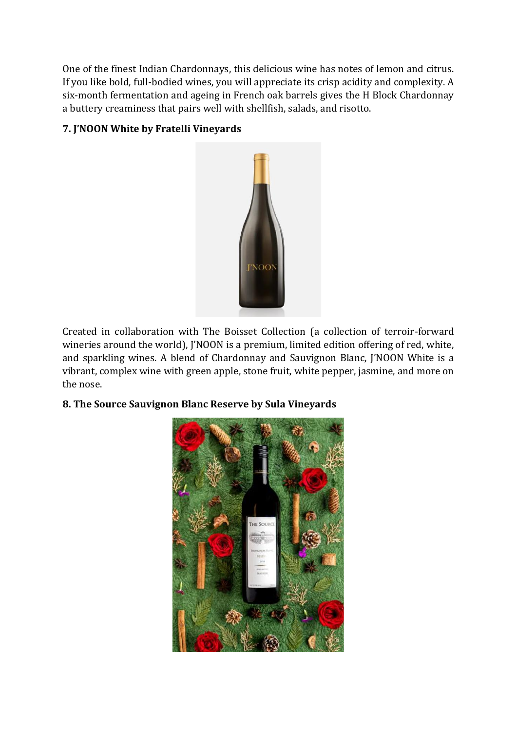One of the finest Indian Chardonnays, this delicious wine has notes of lemon and citrus. If you like bold, full-bodied wines, you will appreciate its crisp acidity and complexity. A six-month fermentation and ageing in French oak barrels gives the H Block Chardonnay a buttery creaminess that pairs well with shellfish, salads, and risotto.

## **7. J'NOON White by Fratelli Vineyards**



Created in collaboration with The Boisset Collection (a collection of terroir-forward wineries around the world), J'NOON is a premium, limited edition offering of red, white, and sparkling wines. A blend of Chardonnay and Sauvignon Blanc, J'NOON White is a vibrant, complex wine with green apple, stone fruit, white pepper, jasmine, and more on the nose.

#### **8. The Source Sauvignon Blanc Reserve by Sula Vineyards**

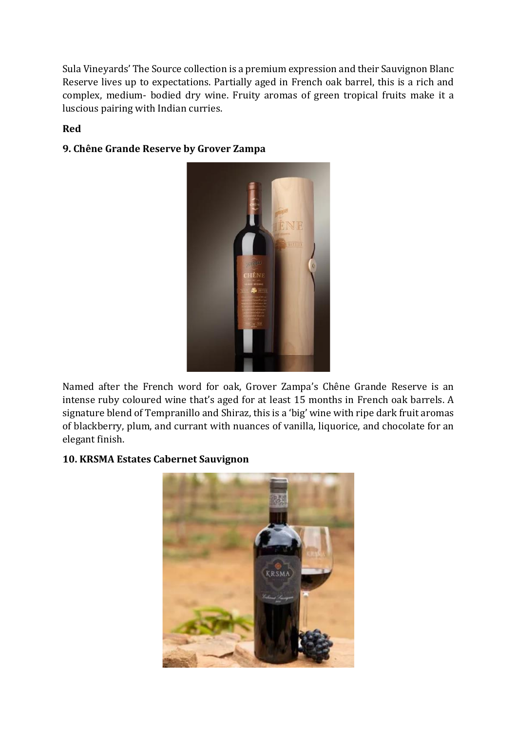Sula Vineyards' The Source collection is a premium expression and their Sauvignon Blanc Reserve lives up to expectations. Partially aged in French oak barrel, this is a rich and complex, medium- bodied dry wine. Fruity aromas of green tropical fruits make it a luscious pairing with Indian curries.

#### **Red**



### **9. Chêne Grande Reserve by Grover Zampa**

Named after the French word for oak, Grover Zampa's Chêne Grande Reserve is an intense ruby coloured wine that's aged for at least 15 months in French oak barrels. A signature blend of Tempranillo and Shiraz, this is a 'big' wine with ripe dark fruit aromas of blackberry, plum, and currant with nuances of vanilla, liquorice, and chocolate for an elegant finish.

#### **10. KRSMA Estates Cabernet Sauvignon**